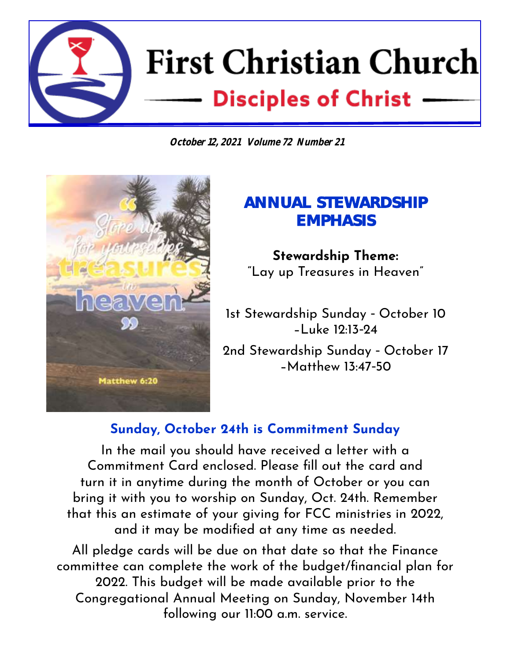# **First Christian Church Disciples of Christ www.fccabilenetx.com**

**October 12, 2021 Volume 72 Number 21**



# **ANNUAL STEWARDSHIP EMPHASIS**

**Stewardship Theme:**  "Lay up Treasures in Heaven"

1st Stewardship Sunday - October 10 –Luke 12:13-24

2nd Stewardship Sunday - October 17 –Matthew 13:47-50

### **Sunday, October 24th is Commitment Sunday**

In the mail you should have received a letter with a Commitment Card enclosed. Please fill out the card and turn it in anytime during the month of October or you can bring it with you to worship on Sunday, Oct. 24th. Remember that this an estimate of your giving for FCC ministries in 2022, and it may be modified at any time as needed.

All pledge cards will be due on that date so that the Finance committee can complete the work of the budget/financial plan for 2022. This budget will be made available prior to the Congregational Annual Meeting on Sunday, November 14th following our 11:00 a.m. service.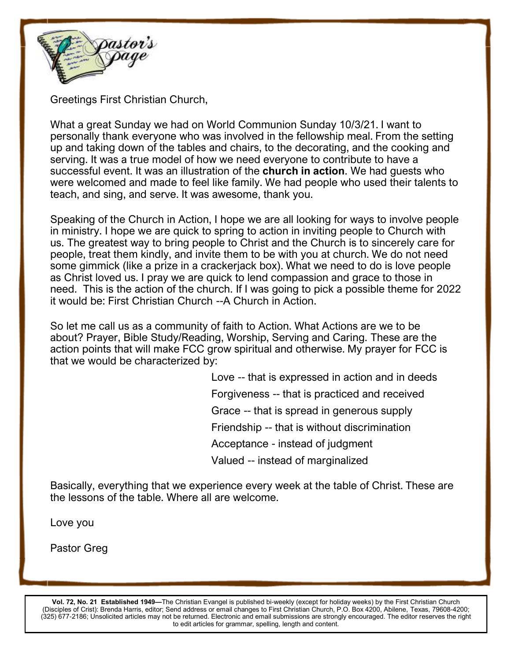

Greetings First Christian Church,

What a great Sunday we had on World Communion Sunday 10/3/21. I want to personally thank everyone who was involved in the fellowship meal. From the setting up and taking down of the tables and chairs, to the decorating, and the cooking and serving. It was a true model of how we need everyone to contribute to have a successful event. It was an illustration of the **church in action**. We had guests who were welcomed and made to feel like family. We had people who used their talents to teach, and sing, and serve. It was awesome, thank you.

Speaking of the Church in Action, I hope we are all looking for ways to involve people in ministry. I hope we are quick to spring to action in inviting people to Church with us. The greatest way to bring people to Christ and the Church is to sincerely care for people, treat them kindly, and invite them to be with you at church. We do not need some gimmick (like a prize in a crackerjack box). What we need to do is love people as Christ loved us. I pray we are quick to lend compassion and grace to those in need. This is the action of the church. If I was going to pick a possible theme for 2022 it would be: First Christian Church --A Church in Action.

So let me call us as a community of faith to Action. What Actions are we to be about? Prayer, Bible Study/Reading, Worship, Serving and Caring. These are the action points that will make FCC grow spiritual and otherwise. My prayer for FCC is that we would be characterized by:

> Love -- that is expressed in action and in deeds Forgiveness -- that is practiced and received Grace -- that is spread in generous supply Friendship -- that is without discrimination Acceptance - instead of judgment Valued -- instead of marginalized

Basically, everything that we experience every week at the table of Christ. These are the lessons of the table. Where all are welcome.

Love you

Pastor Greg

**Vol. 72, No. 21 Established 1949—**The Christian Evangel is published bi-weekly (except for holiday weeks) by the First Christian Church (Disciples of Crist): Brenda Harris, editor; Send address or email changes to First Christian Church, P.O. Box 4200, Abilene, Texas, 79608-4200; (325) 677-2186; Unsolicited articles may not be returned. Electronic and email submissions are strongly encouraged. The editor reserves the right to edit articles for grammar, spelling, length and content.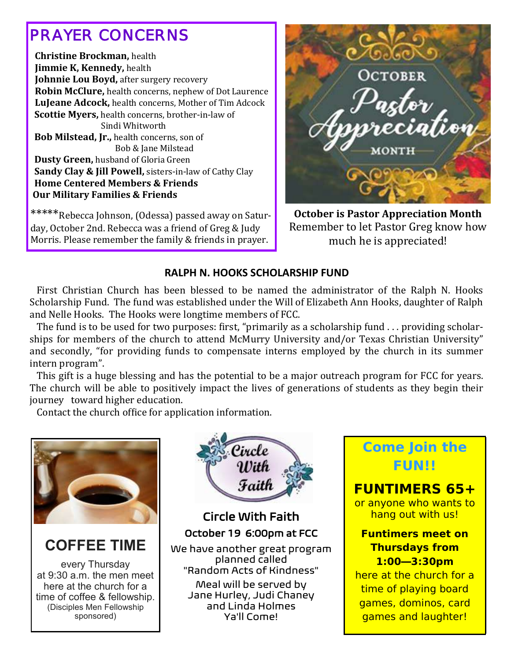# *PRAYER CONCERNS*

 **Christine Brockman,** health  **Jimmie K, Kennedy,** health **Johnnie Lou Boyd, after surgery recovery Robin McClure,** health concerns, nephew of Dot Laurence  **LuJeane Adcock,** health concerns, Mother of Tim Adcock **Scottie Myers,** health concerns, brother-in-law of Sindi Whitworth  **Bob Milstead, Jr.,** health concerns, son of Bob & Jane Milstead **Dusty Green,** husband of Gloria Green  **Sandy Clay & Jill Powell,** sisters-in-law of Cathy Clay **Home Centered Members & Friends Our Military Families & Friends**

\*\*\*\*\*Rebecca Johnson, (Odessa) passed away on Saturday, October 2nd. Rebecca was a friend of Greg & Judy Morris. Please remember the family & friends in prayer.



**October is Pastor Appreciation Month** Remember to let Pastor Greg know how much he is appreciated!

#### **RALPH N. HOOKS SCHOLARSHIP FUND**

 First Christian Church has been blessed to be named the administrator of the Ralph N. Hooks Scholarship Fund. The fund was established under the Will of Elizabeth Ann Hooks, daughter of Ralph and Nelle Hooks.The Hooks were longtime members of FCC.

 The fund is to be used for two purposes: first, "primarily as a scholarship fund . . . providing scholarships for members of the church to attend McMurry University and/or Texas Christian University" and secondly, "for providing funds to compensate interns employed by the church in its summer intern program".

 This gift is a huge blessing and has the potential to be a major outreach program for FCC for years. The church will be able to positively impact the lives of generations of students as they begin their journey toward higher education.

Contact the church office for application information.



**COFFEE TIME**

every Thursday at 9:30 a.m. the men meet here at the church for a time of coffee & fellowship. (Disciples Men Fellowship sponsored)



"Random Acts of Kindness" Meal will be served by Jane Hurley, Judi Chaney and Linda Holmes Ya'll Come!

**Come Join the FUN!!**

**FUNTIMERS 65+**  or anyone who wants to hang out with us!

**Funtimers meet on Thursdays from 1:00—3:30pm**  here at the church for a time of playing board games, dominos, card games and laughter!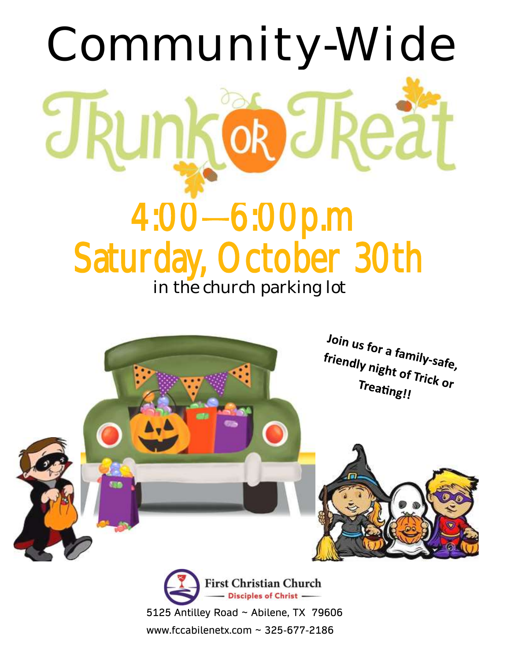



5125 Antilley Road ~ Abilene, TX 79606 www.fccabilenetx.com ~ 325-677-2186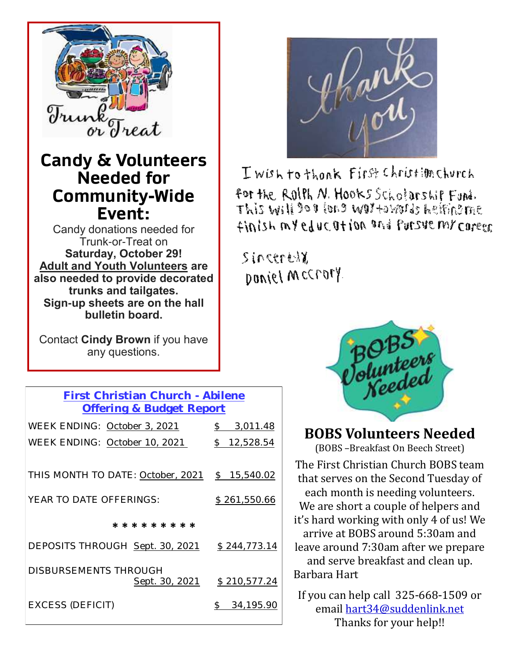

## **Candy & Volunteers Needed for Community-Wide Event:**

Candy donations needed for Trunk-or-Treat on **Saturday, October 29! Adult and Youth Volunteers are also needed to provide decorated trunks and tailgates. Sign-up sheets are on the hall bulletin board.**

Contact **Cindy Brown** if you have any questions.

| First Christian Church - Abilene  |                            |
|-----------------------------------|----------------------------|
| Offering & Budget Report          |                            |
| WEEK ENDING: October 3, 2021      | \$3,011.48                 |
| WEEK ENDING: October 10, 2021     | $\frac{1}{2}$<br>12,528.54 |
|                                   |                            |
| THIS MONTH TO DATE: October, 2021 | \$15,540.02                |
| YEAR TO DATE OFFERINGS:           | \$261,550.66               |
| * * * * * * * * *                 |                            |
| DEPOSITS THROUGH Sept. 30, 2021   | \$244,773.14               |
| <b>DISBURSEMENTS THROUGH</b>      |                            |
| Sept. 30, 2021                    | \$210,577.24               |
| EXCESS (DEFICIT)                  | 34,195.90<br>$\mathcal{S}$ |



I wish to thonk First Christim Church for the Rollh N. Hooks Scholarship Fund. This will do # (ond wo) +ovaris helfind me finish my education and Parsue my coreer

Sincerell DONIEL MCCrofy



### **BOBS Volunteers Needed**

(BOBS –Breakfast On Beech Street)

The First Christian Church BOBS team that serves on the Second Tuesday of each month is needing volunteers. We are short a couple of helpers and it's hard working with only 4 of us! We arrive at BOBS around 5:30am and leave around 7:30am after we prepare and serve breakfast and clean up. Barbara Hart

If you can help call 325-668-1509 or email hart34@suddenlink.net Thanks for your help!!